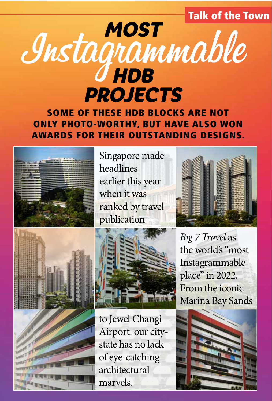Talk of the Town

# Instagrammable MOST HDB PROJECTS

SOME OF THESE HDB BLOCKS ARE NOT ONLY PHOTO-WORTHY, BUT HAVE ALSO WON AWARDS FOR THEIR OUTSTANDING DESIGNS.



Singapore made headlines earlier this year when it was ranked by travel publication







to Jewel Changi Airport, our citystate has no lack of eye-catching architectural marvels.



*Big 7 Travel* as the world's "most Instagrammable place" in 2022. From the iconic Marina Bay Sands

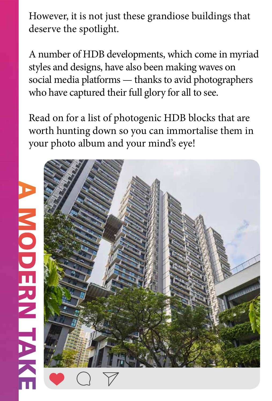However, it is not just these grandiose buildings that deserve the spotlight.

A number of HDB developments, which come in myriad styles and designs, have also been making waves on social media platforms — thanks to avid photographers who have captured their full glory for all to see.

Read on for a list of photogenic HDB blocks that are worth hunting down so you can immortalise them in your photo album and your mind's eye!

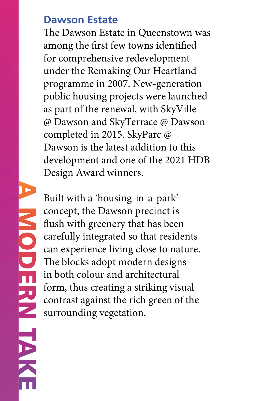#### **Dawson Estate**

The Dawson Estate in Queenstown was among the first few towns identified for comprehensive redevelopment under the Remaking Our Heartland programme in 2007. New-generation public housing projects were launched as part of the renewal, with SkyVille @ Dawson and SkyTerrace @ Dawson completed in 2015. SkyParc @ Dawson is the latest addition to this development and one of the 2021 HDB Design Award winners.

Built with a 'housing-in-a-park' concept, the Dawson precinct is flush with greenery that has been carefully integrated so that residents can experience living close to nature. The blocks adopt modern designs in both colour and architectural form, thus creating a striking visual contrast against the rich green of the surrounding vegetation.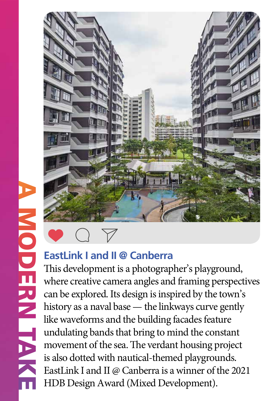**NODERNIT** 



#### **EastLink I and II @ Canberra**

This development is a photographer's playground, where creative camera angles and framing perspectives can be explored. Its design is inspired by the town's history as a naval base — the linkways curve gently like waveforms and the building facades feature undulating bands that bring to mind the constant movement of the sea. The verdant housing project is also dotted with nautical-themed playgrounds. EastLink I and II @ Canberra is a winner of the 2021 HDB Design Award (Mixed Development).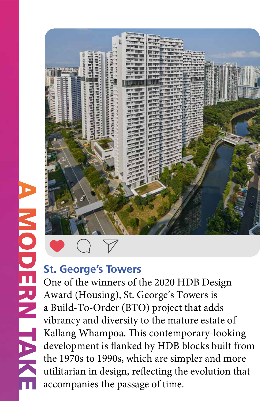

One of the winners of the 2020 HDB Design Award (Housing), St. George's Towers is a Build-To-Order (BTO) project that adds vibrancy and diversity to the mature estate of Kallang Whampoa. This contemporary-looking development is flanked by HDB blocks built from the 1970s to 1990s, which are simpler and more utilitarian in design, reflecting the evolution that accompanies the passage of time.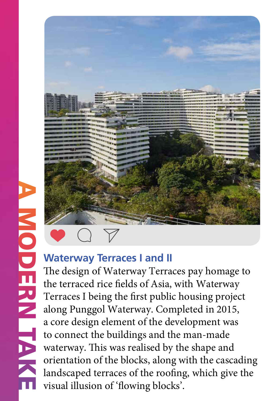

#### **Waterway Terraces I and II**

The design of Waterway Terraces pay homage to the terraced rice fields of Asia, with Waterway Terraces I being the first public housing project along Punggol Waterway. Completed in 2015, a core design element of the development was to connect the buildings and the man-made waterway. This was realised by the shape and orientation of the blocks, along with the cascading landscaped terraces of the roofing, which give the visual illusion of 'flowing blocks'.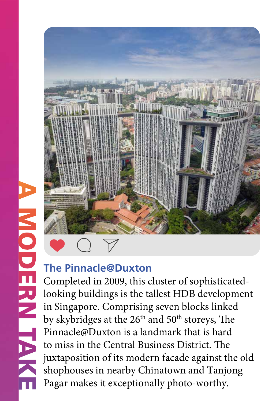

#### **The Pinnacle@Duxton**

Completed in 2009, this cluster of sophisticatedlooking buildings is the tallest HDB development in Singapore. Comprising seven blocks linked by skybridges at the 26<sup>th</sup> and 50<sup>th</sup> storeys, The Pinnacle@Duxton is a landmark that is hard to miss in the Central Business District. The juxtaposition of its modern facade against the old shophouses in nearby Chinatown and Tanjong Pagar makes it exceptionally photo-worthy.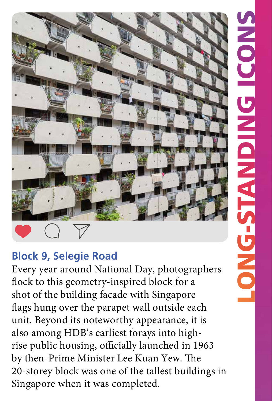

### **Block 9, Selegie Road**

Every year around National Day, photographers flock to this geometry-inspired block for a shot of the building facade with Singapore flags hung over the parapet wall outside each unit. Beyond its noteworthy appearance, it is also among HDB's earliest forays into highrise public housing, officially launched in 1963 by then-Prime Minister Lee Kuan Yew. The 20-storey block was one of the tallest buildings in Singapore when it was completed.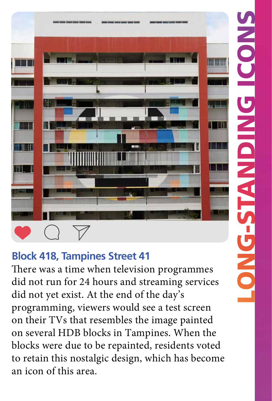

# **Block 418, Tampines Street 41**

There was a time when television programmes did not run for 24 hours and streaming services did not yet exist. At the end of the day's programming, viewers would see a test screen on their TVs that resembles the image painted on several HDB blocks in Tampines. When the blocks were due to be repainted, residents voted to retain this nostalgic design, which has become an icon of this area.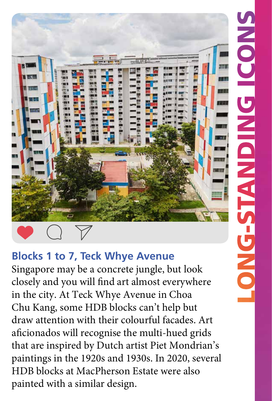

# **Blocks 1 to 7, Teck Whye Avenue**

Singapore may be a concrete jungle, but look closely and you will find art almost everywhere in the city. At Teck Whye Avenue in Choa Chu Kang, some HDB blocks can't help but draw attention with their colourful facades. Art aficionados will recognise the multi-hued grids that are inspired by Dutch artist Piet Mondrian's paintings in the 1920s and 1930s. In 2020, several HDB blocks at MacPherson Estate were also painted with a similar design.